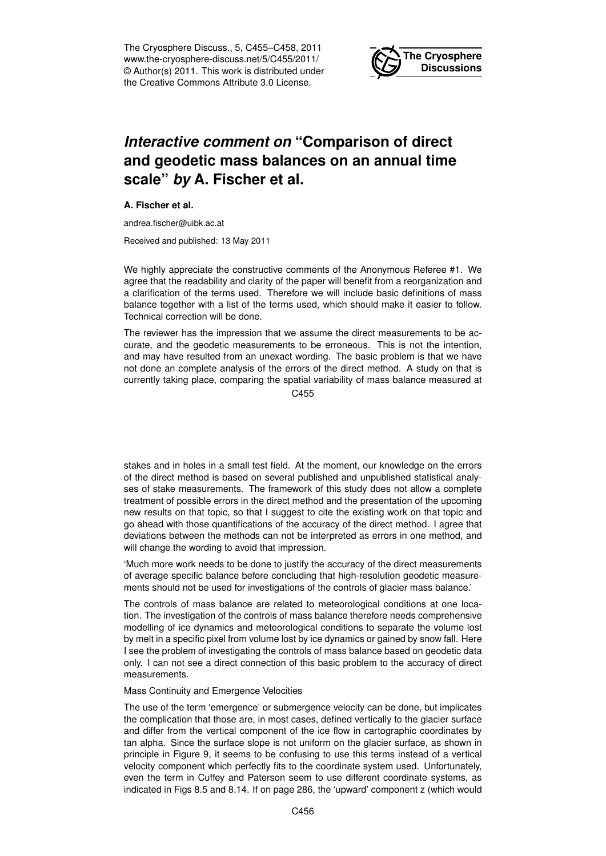The Cryosphere Discuss., 5, C455–C458, 2011 www.the-cryosphere-discuss.net/5/C455/2011/ © Author(s) 2011. This work is distributed under the Creative Commons Attribute 3.0 License.



## *Interactive comment on* **"Comparison of direct and geodetic mass balances on an annual time scale"** *by* **A. Fischer et al.**

**A. Fischer et al.**

andrea.fischer@uibk.ac.at

Received and published: 13 May 2011

We highly appreciate the constructive comments of the Anonymous Referee #1. We agree that the readability and clarity of the paper will benefit from a reorganization and a clarification of the terms used. Therefore we will include basic definitions of mass balance together with a list of the terms used, which should make it easier to follow. Technical correction will be done.

The reviewer has the impression that we assume the direct measurements to be accurate, and the geodetic measurements to be erroneous. This is not the intention, and may have resulted from an unexact wording. The basic problem is that we have not done an complete analysis of the errors of the direct method. A study on that is currently taking place, comparing the spatial variability of mass balance measured at

C<sub>455</sub>

stakes and in holes in a small test field. At the moment, our knowledge on the errors of the direct method is based on several published and unpublished statistical analyses of stake measurements. The framework of this study does not allow a complete treatment of possible errors in the direct method and the presentation of the upcoming new results on that topic, so that I suggest to cite the existing work on that topic and go ahead with those quantifications of the accuracy of the direct method. I agree that deviations between the methods can not be interpreted as errors in one method, and will change the wording to avoid that impression.

'Much more work needs to be done to justify the accuracy of the direct measurements of average specific balance before concluding that high-resolution geodetic measurements should not be used for investigations of the controls of glacier mass balance.'

The controls of mass balance are related to meteorological conditions at one location. The investigation of the controls of mass balance therefore needs comprehensive modelling of ice dynamics and meteorological conditions to separate the volume lost by melt in a specific pixel from volume lost by ice dynamics or gained by snow fall. Here I see the problem of investigating the controls of mass balance based on geodetic data only. I can not see a direct connection of this basic problem to the accuracy of direct measurements.

## Mass Continuity and Emergence Velocities

The use of the term 'emergence' or submergence velocity can be done, but implicates the complication that those are, in most cases, defined vertically to the glacier surface and differ from the vertical component of the ice flow in cartographic coordinates by tan alpha. Since the surface slope is not uniform on the glacier surface, as shown in principle in Figure 9, it seems to be confusing to use this terms instead of a vertical velocity component which perfectly fits to the coordinate system used. Unfortunately, even the term in Cuffey and Paterson seem to use different coordinate systems, as indicated in Figs 8.5 and 8.14. If on page 286, the 'upward' component z (which would